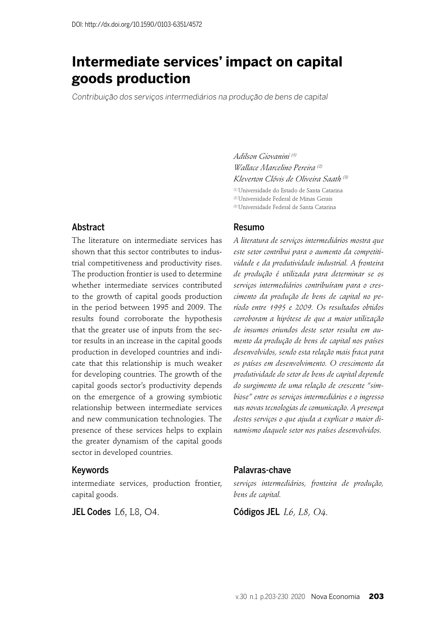# **Intermediate services' impact on capital goods production**

Contribuição dos serviços intermediários na produção de bens de capital

*Adilson Giovanini (1) Wallace Marcelino Pereira (2) Kleverton Clóvis de Oliveira Saath (3)*

(1) Universidade do Estado de Santa Catarina

(2) Universidade Federal de Minas Gerais

(3) Universidade Federal de Santa Catarina

### Abstract

The literature on intermediate services has shown that this sector contributes to industrial competitiveness and productivity rises. The production frontier is used to determine whether intermediate services contributed to the growth of capital goods production in the period between 1995 and 2009. The results found corroborate the hypothesis that the greater use of inputs from the sector results in an increase in the capital goods production in developed countries and indicate that this relationship is much weaker for developing countries. The growth of the capital goods sector's productivity depends on the emergence of a growing symbiotic relationship between intermediate services and new communication technologies. The presence of these services helps to explain the greater dynamism of the capital goods sector in developed countries.

### Keywords

intermediate services, production frontier, capital goods.

JEL Codes L6, L8, O4.

### Resumo

*A literatura de serviços intermediários mostra que este setor contribui para o aumento da competitividade e da produtividade industrial. A fronteira de produção é utilizada para determinar se os serviços intermediários contribuíram para o crescimento da produção de bens de capital no período entre 1995 e 2009. Os resultados obtidos corroboram a hipótese de que a maior utilização de insumos oriundos deste setor resulta em aumento da produção de bens de capital nos países desenvolvidos, sendo esta relação mais fraca para os países em desenvolvimento. O crescimento da produtividade do setor de bens de capital depende do surgimento de uma relação de crescente "simbiose" entre os serviços intermediários e o ingresso nas novas tecnologias de comunicação. A presença destes serviços o que ajuda a explicar o maior dinamismo daquele setor nos países desenvolvidos.*

### Palavras-chave

*serviços intermediários, fronteira de produção, bens de capital.*

Códigos JEL *L6, L8, O4.*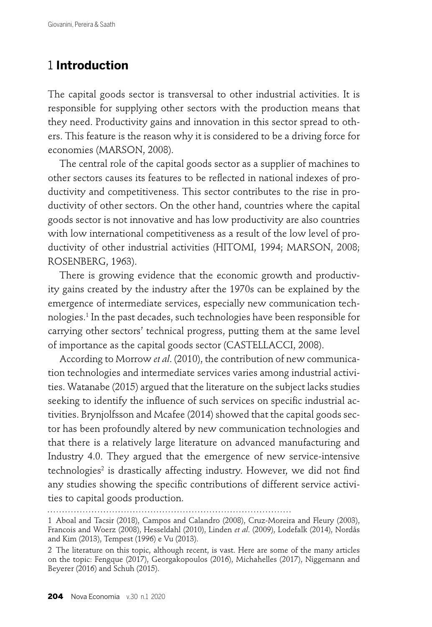# 1 **Introduction**

The capital goods sector is transversal to other industrial activities. It is responsible for supplying other sectors with the production means that they need. Productivity gains and innovation in this sector spread to others. This feature is the reason why it is considered to be a driving force for economies (MARSON, 2008).

The central role of the capital goods sector as a supplier of machines to other sectors causes its features to be reflected in national indexes of productivity and competitiveness. This sector contributes to the rise in productivity of other sectors. On the other hand, countries where the capital goods sector is not innovative and has low productivity are also countries with low international competitiveness as a result of the low level of productivity of other industrial activities (HITOMI, 1994; MARSON, 2008; ROSENBERG, 1963).

There is growing evidence that the economic growth and productivity gains created by the industry after the 1970s can be explained by the emergence of intermediate services, especially new communication technologies.1 In the past decades, such technologies have been responsible for carrying other sectors' technical progress, putting them at the same level of importance as the capital goods sector (CASTELLACCI, 2008).

According to Morrow *et al*. (2010), the contribution of new communication technologies and intermediate services varies among industrial activities. Watanabe (2015) argued that the literature on the subject lacks studies seeking to identify the influence of such services on specific industrial activities. Brynjolfsson and Mcafee (2014) showed that the capital goods sector has been profoundly altered by new communication technologies and that there is a relatively large literature on advanced manufacturing and Industry 4.0. They argued that the emergence of new service-intensive technologies<sup>2</sup> is drastically affecting industry. However, we did not find any studies showing the specific contributions of different service activities to capital goods production.

<sup>1</sup> Aboal and Tacsir (2018), Campos and Calandro (2008), Cruz-Moreira and Fleury (2003), Francois and Woerz (2008), Hesseldahl (2010), Linden *et al*. (2009), Lodefalk (2014), Nordås and Kim (2013), Tempest (1996) e Vu (2013).

<sup>2</sup> The literature on this topic, although recent, is vast. Here are some of the many articles on the topic: Fengque (2017), Georgakopoulos (2016), Michahelles (2017), Niggemann and Beyerer (2016) and Schuh (2015).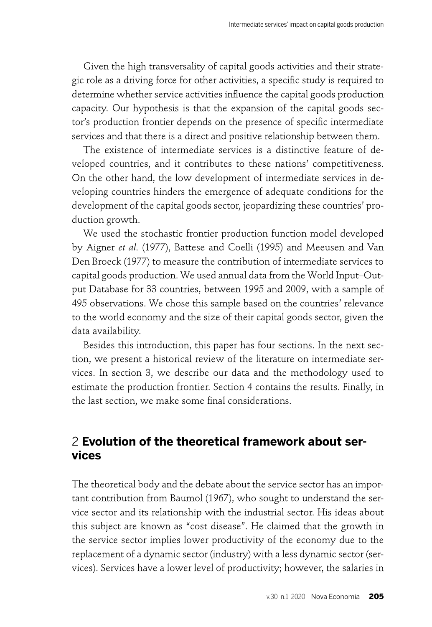Given the high transversality of capital goods activities and their strategic role as a driving force for other activities, a specific study is required to determine whether service activities influence the capital goods production capacity. Our hypothesis is that the expansion of the capital goods sector's production frontier depends on the presence of specific intermediate services and that there is a direct and positive relationship between them.

The existence of intermediate services is a distinctive feature of developed countries, and it contributes to these nations' competitiveness. On the other hand, the low development of intermediate services in developing countries hinders the emergence of adequate conditions for the development of the capital goods sector, jeopardizing these countries' production growth.

We used the stochastic frontier production function model developed by Aigner *et al*. (1977), Battese and Coelli (1995) and Meeusen and Van Den Broeck (1977) to measure the contribution of intermediate services to capital goods production. We used annual data from the World Input–Output Database for 33 countries, between 1995 and 2009, with a sample of 495 observations. We chose this sample based on the countries' relevance to the world economy and the size of their capital goods sector, given the data availability.

Besides this introduction, this paper has four sections. In the next section, we present a historical review of the literature on intermediate services. In section 3, we describe our data and the methodology used to estimate the production frontier. Section 4 contains the results. Finally, in the last section, we make some final considerations.

## 2 **Evolution of the theoretical framework about services**

The theoretical body and the debate about the service sector has an important contribution from Baumol (1967), who sought to understand the service sector and its relationship with the industrial sector. His ideas about this subject are known as "cost disease". He claimed that the growth in the service sector implies lower productivity of the economy due to the replacement of a dynamic sector (industry) with a less dynamic sector (services). Services have a lower level of productivity; however, the salaries in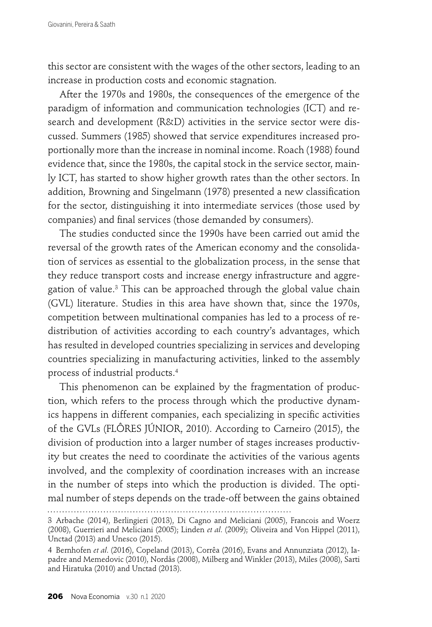this sector are consistent with the wages of the other sectors, leading to an increase in production costs and economic stagnation.

After the 1970s and 1980s, the consequences of the emergence of the paradigm of information and communication technologies (ICT) and research and development (R&D) activities in the service sector were discussed. Summers (1985) showed that service expenditures increased proportionally more than the increase in nominal income. Roach (1988) found evidence that, since the 1980s, the capital stock in the service sector, mainly ICT, has started to show higher growth rates than the other sectors. In addition, Browning and Singelmann (1978) presented a new classification for the sector, distinguishing it into intermediate services (those used by companies) and final services (those demanded by consumers).

The studies conducted since the 1990s have been carried out amid the reversal of the growth rates of the American economy and the consolidation of services as essential to the globalization process, in the sense that they reduce transport costs and increase energy infrastructure and aggregation of value.<sup>3</sup> This can be approached through the global value chain (GVL) literature. Studies in this area have shown that, since the 1970s, competition between multinational companies has led to a process of redistribution of activities according to each country's advantages, which has resulted in developed countries specializing in services and developing countries specializing in manufacturing activities, linked to the assembly process of industrial products.4

This phenomenon can be explained by the fragmentation of production, which refers to the process through which the productive dynamics happens in different companies, each specializing in specific activities of the GVLs (FLÔRES JÚNIOR, 2010). According to Carneiro (2015), the division of production into a larger number of stages increases productivity but creates the need to coordinate the activities of the various agents involved, and the complexity of coordination increases with an increase in the number of steps into which the production is divided. The optimal number of steps depends on the trade-off between the gains obtained

<sup>3</sup> Arbache (2014), Berlingieri (2013), Di Cagno and Meliciani (2005), Francois and Woerz (2008), Guerrieri and Meliciani (2005); Linden *et al*. (2009); Oliveira and Von Hippel (2011), Unctad (2013) and Unesco (2015).

<sup>4</sup> Bernhofen *et al*. (2016), Copeland (2013), Corrêa (2016), Evans and Annunziata (2012), Iapadre and Memedovic (2010), Nordås (2008), Milberg and Winkler (2013), Miles (2008), Sarti and Hiratuka (2010) and Unctad (2013).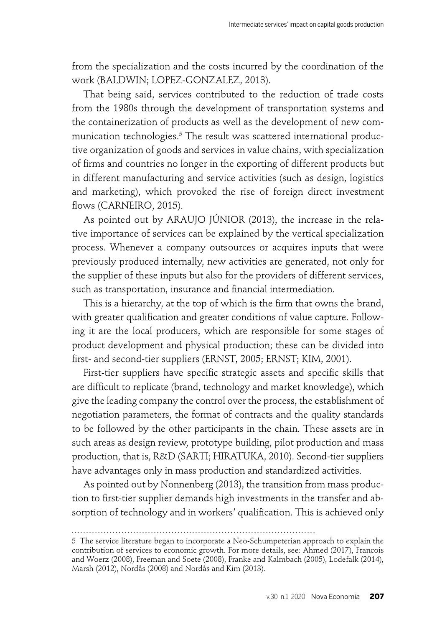from the specialization and the costs incurred by the coordination of the work (BALDWIN; LOPEZ-GONZALEZ, 2013).

That being said, services contributed to the reduction of trade costs from the 1980s through the development of transportation systems and the containerization of products as well as the development of new communication technologies. $^5$  The result was scattered international productive organization of goods and services in value chains, with specialization of firms and countries no longer in the exporting of different products but in different manufacturing and service activities (such as design, logistics and marketing), which provoked the rise of foreign direct investment flows (CARNEIRO, 2015).

As pointed out by ARAUJO JÚNIOR (2013), the increase in the relative importance of services can be explained by the vertical specialization process. Whenever a company outsources or acquires inputs that were previously produced internally, new activities are generated, not only for the supplier of these inputs but also for the providers of different services, such as transportation, insurance and financial intermediation.

This is a hierarchy, at the top of which is the firm that owns the brand, with greater qualification and greater conditions of value capture. Following it are the local producers, which are responsible for some stages of product development and physical production; these can be divided into first- and second-tier suppliers (ERNST, 2005; ERNST; KIM, 2001).

First-tier suppliers have specific strategic assets and specific skills that are difficult to replicate (brand, technology and market knowledge), which give the leading company the control over the process, the establishment of negotiation parameters, the format of contracts and the quality standards to be followed by the other participants in the chain. These assets are in such areas as design review, prototype building, pilot production and mass production, that is, R&D (SARTI; HIRATUKA, 2010). Second-tier suppliers have advantages only in mass production and standardized activities.

As pointed out by Nonnenberg (2013), the transition from mass production to first-tier supplier demands high investments in the transfer and absorption of technology and in workers' qualification. This is achieved only

<sup>5</sup> The service literature began to incorporate a Neo-Schumpeterian approach to explain the contribution of services to economic growth. For more details, see: Ahmed (2017), Francois and Woerz (2008), Freeman and Soete (2008), Franke and Kalmbach (2005), Lodefalk (2014), Marsh (2012), Nordås (2008) and Nordås and Kim (2013).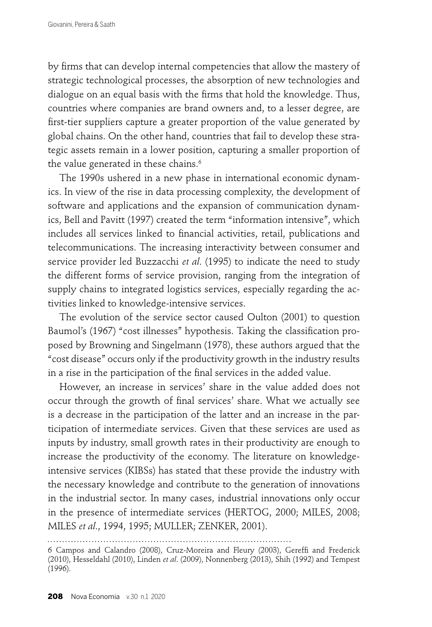by firms that can develop internal competencies that allow the mastery of strategic technological processes, the absorption of new technologies and dialogue on an equal basis with the firms that hold the knowledge. Thus, countries where companies are brand owners and, to a lesser degree, are first-tier suppliers capture a greater proportion of the value generated by global chains. On the other hand, countries that fail to develop these strategic assets remain in a lower position, capturing a smaller proportion of the value generated in these chains.<sup>6</sup>

The 1990s ushered in a new phase in international economic dynamics. In view of the rise in data processing complexity, the development of software and applications and the expansion of communication dynamics, Bell and Pavitt (1997) created the term "information intensive", which includes all services linked to financial activities, retail, publications and telecommunications. The increasing interactivity between consumer and service provider led Buzzacchi *et al*. (1995) to indicate the need to study the different forms of service provision, ranging from the integration of supply chains to integrated logistics services, especially regarding the activities linked to knowledge-intensive services.

The evolution of the service sector caused Oulton (2001) to question Baumol's (1967) "cost illnesses" hypothesis. Taking the classification proposed by Browning and Singelmann (1978), these authors argued that the "cost disease" occurs only if the productivity growth in the industry results in a rise in the participation of the final services in the added value.

However, an increase in services' share in the value added does not occur through the growth of final services' share. What we actually see is a decrease in the participation of the latter and an increase in the participation of intermediate services. Given that these services are used as inputs by industry, small growth rates in their productivity are enough to increase the productivity of the economy. The literature on knowledgeintensive services (KIBSs) has stated that these provide the industry with the necessary knowledge and contribute to the generation of innovations in the industrial sector. In many cases, industrial innovations only occur in the presence of intermediate services (HERTOG, 2000; MILES, 2008; MILES *et al*., 1994, 1995; MULLER; ZENKER, 2001).

<sup>6</sup> Campos and Calandro (2008), Cruz-Moreira and Fleury (2003), Gereffi and Frederick (2010), Hesseldahl (2010), Linden *et al*. (2009), Nonnenberg (2013), Shih (1992) and Tempest (1996).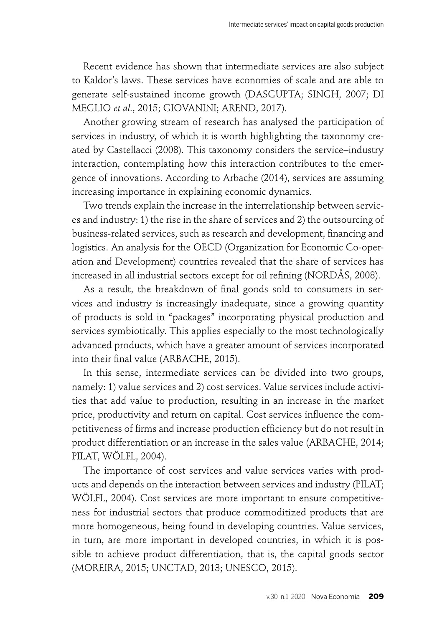Recent evidence has shown that intermediate services are also subject to Kaldor's laws. These services have economies of scale and are able to generate self-sustained income growth (DASGUPTA; SINGH, 2007; DI MEGLIO *et al*., 2015; GIOVANINI; AREND, 2017).

Another growing stream of research has analysed the participation of services in industry, of which it is worth highlighting the taxonomy created by Castellacci (2008). This taxonomy considers the service–industry interaction, contemplating how this interaction contributes to the emergence of innovations. According to Arbache (2014), services are assuming increasing importance in explaining economic dynamics.

Two trends explain the increase in the interrelationship between services and industry: 1) the rise in the share of services and 2) the outsourcing of business-related services, such as research and development, financing and logistics. An analysis for the OECD (Organization for Economic Co-operation and Development) countries revealed that the share of services has increased in all industrial sectors except for oil refining (NORDÅS, 2008).

As a result, the breakdown of final goods sold to consumers in services and industry is increasingly inadequate, since a growing quantity of products is sold in "packages" incorporating physical production and services symbiotically. This applies especially to the most technologically advanced products, which have a greater amount of services incorporated into their final value (ARBACHE, 2015).

In this sense, intermediate services can be divided into two groups, namely: 1) value services and 2) cost services. Value services include activities that add value to production, resulting in an increase in the market price, productivity and return on capital. Cost services influence the competitiveness of firms and increase production efficiency but do not result in product differentiation or an increase in the sales value (ARBACHE, 2014; PILAT, WÖLFL, 2004).

The importance of cost services and value services varies with products and depends on the interaction between services and industry (PILAT; WÖLFL, 2004). Cost services are more important to ensure competitiveness for industrial sectors that produce commoditized products that are more homogeneous, being found in developing countries. Value services, in turn, are more important in developed countries, in which it is possible to achieve product differentiation, that is, the capital goods sector (MOREIRA, 2015; UNCTAD, 2013; UNESCO, 2015).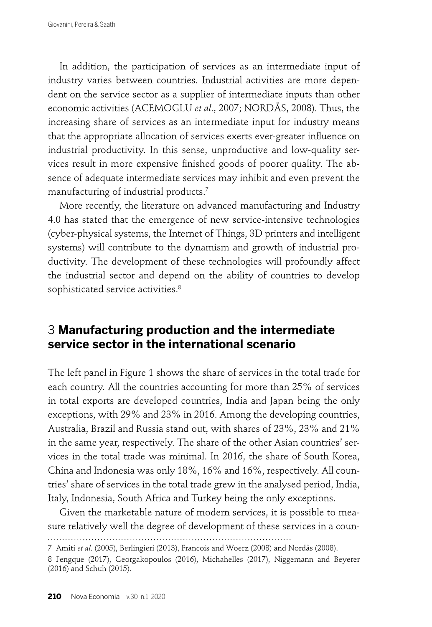In addition, the participation of services as an intermediate input of industry varies between countries. Industrial activities are more dependent on the service sector as a supplier of intermediate inputs than other economic activities (ACEMOGLU *et al*., 2007; NORDÅS, 2008). Thus, the increasing share of services as an intermediate input for industry means that the appropriate allocation of services exerts ever-greater influence on industrial productivity. In this sense, unproductive and low-quality services result in more expensive finished goods of poorer quality. The absence of adequate intermediate services may inhibit and even prevent the manufacturing of industrial products.7

More recently, the literature on advanced manufacturing and Industry 4.0 has stated that the emergence of new service-intensive technologies (cyber-physical systems, the Internet of Things, 3D printers and intelligent systems) will contribute to the dynamism and growth of industrial productivity. The development of these technologies will profoundly affect the industrial sector and depend on the ability of countries to develop sophisticated service activities.<sup>8</sup>

## 3 **Manufacturing production and the intermediate service sector in the international scenario**

The left panel in Figure 1 shows the share of services in the total trade for each country. All the countries accounting for more than 25% of services in total exports are developed countries, India and Japan being the only exceptions, with 29% and 23% in 2016. Among the developing countries, Australia, Brazil and Russia stand out, with shares of 23%, 23% and 21% in the same year, respectively. The share of the other Asian countries' services in the total trade was minimal. In 2016, the share of South Korea, China and Indonesia was only 18%, 16% and 16%, respectively. All countries' share of services in the total trade grew in the analysed period, India, Italy, Indonesia, South Africa and Turkey being the only exceptions.

Given the marketable nature of modern services, it is possible to measure relatively well the degree of development of these services in a coun-

<sup>7</sup> Amiti *et al*. (2005), Berlingieri (2013), Francois and Woerz (2008) and Nordås (2008).

<sup>8</sup> Fengque (2017), Georgakopoulos (2016), Michahelles (2017), Niggemann and Beyerer (2016) and Schuh (2015).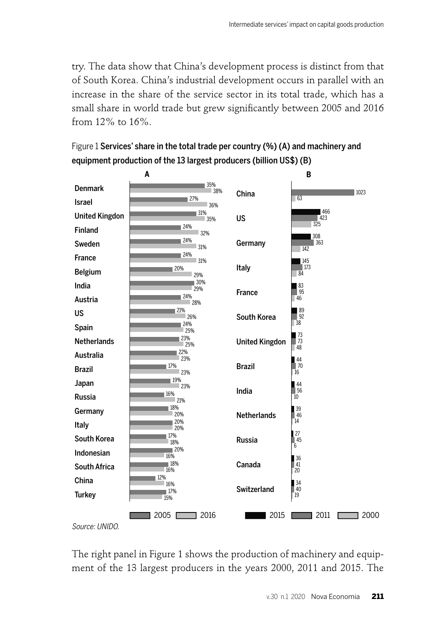try. The data show that China's development process is distinct from that of South Korea. China's industrial development occurs in parallel with an increase in the share of the service sector in its total trade, which has a small share in world trade but grew significantly between 2005 and 2016 from 12% to 16%.

Figure 1 Services' share in the total trade per country (%) (A) and machinery and equipment production of the 13 largest producers (billion US\$) (B)



Source: UNIDO.

The right panel in Figure 1 shows the production of machinery and equipment of the 13 largest producers in the years 2000, 2011 and 2015. The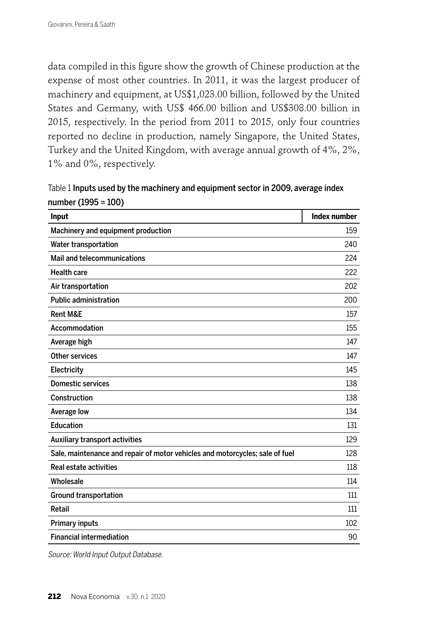data compiled in this figure show the growth of Chinese production at the expense of most other countries. In 2011, it was the largest producer of machinery and equipment, at US\$1,023.00 billion, followed by the United States and Germany, with US\$ 466.00 billion and US\$308.00 billion in 2015, respectively. In the period from 2011 to 2015, only four countries reported no decline in production, namely Singapore, the United States, Turkey and the United Kingdom, with average annual growth of 4%, 2%, 1% and 0%, respectively.

|                                                                              | <b>Index number</b> |
|------------------------------------------------------------------------------|---------------------|
| Input                                                                        |                     |
| Machinery and equipment production                                           | 159                 |
| Water transportation                                                         | 240                 |
| Mail and telecommunications                                                  | 224                 |
| <b>Health care</b>                                                           | 222                 |
| Air transportation                                                           | 202                 |
| <b>Public administration</b>                                                 | 200                 |
| <b>Rent M&amp;E</b>                                                          | 157                 |
| Accommodation                                                                | 155                 |
| Average high                                                                 | 147                 |
| Other services                                                               | 147                 |
| Electricity                                                                  | 145                 |
| <b>Domestic services</b>                                                     | 138                 |
| Construction                                                                 | 138                 |
| Average low                                                                  | 134                 |
| Education                                                                    | 131                 |
| <b>Auxiliary transport activities</b>                                        | 129                 |
| Sale, maintenance and repair of motor vehicles and motorcycles; sale of fuel | 128                 |
| Real estate activities                                                       | 118                 |
| Wholesale                                                                    | 114                 |
| <b>Ground transportation</b>                                                 | 111                 |
| Retail                                                                       | 111                 |
| <b>Primary inputs</b>                                                        | 102                 |
| <b>Financial intermediation</b>                                              | 90                  |

Table 1 Inputs used by the machinery and equipment sector in 2009, average index number (1995 = 100)

Source: World Input Output Database.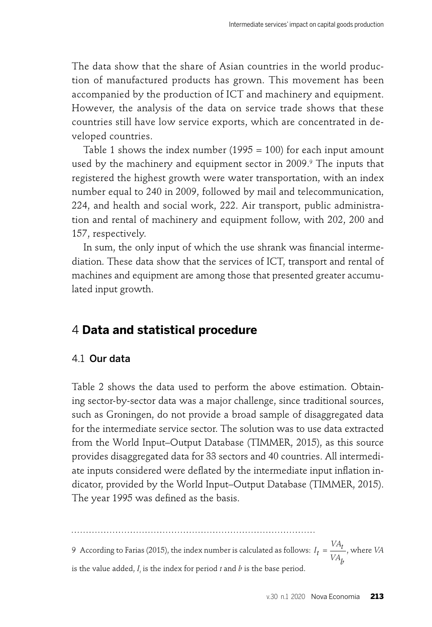The data show that the share of Asian countries in the world production of manufactured products has grown. This movement has been accompanied by the production of ICT and machinery and equipment. However, the analysis of the data on service trade shows that these countries still have low service exports, which are concentrated in developed countries.

Table 1 shows the index number (1995 = 100) for each input amount used by the machinery and equipment sector in 2009.<sup>9</sup> The inputs that registered the highest growth were water transportation, with an index number equal to 240 in 2009, followed by mail and telecommunication, 224, and health and social work, 222. Air transport, public administration and rental of machinery and equipment follow, with 202, 200 and 157, respectively.

In sum, the only input of which the use shrank was financial intermediation. These data show that the services of ICT, transport and rental of machines and equipment are among those that presented greater accumulated input growth.

# 4 **Data and statistical procedure**

### 4.1 Our data

Table 2 shows the data used to perform the above estimation. Obtaining sector-by-sector data was a major challenge, since traditional sources, such as Groningen, do not provide a broad sample of disaggregated data for the intermediate service sector. The solution was to use data extracted from the World Input–Output Database (TIMMER, 2015), as this source provides disaggregated data for 33 sectors and 40 countries. All intermediate inputs considered were deflated by the intermediate input inflation indicator, provided by the World Input–Output Database (TIMMER, 2015). The year 1995 was defined as the basis.

9 According to Farias (2015), the index number is calculated as follows:  $I_t = \frac{VA_t}{VA}$ , where *VA* is the value added,  $I_t$  is the index for period  $t$  and  $b$  is the base period. *VAb* =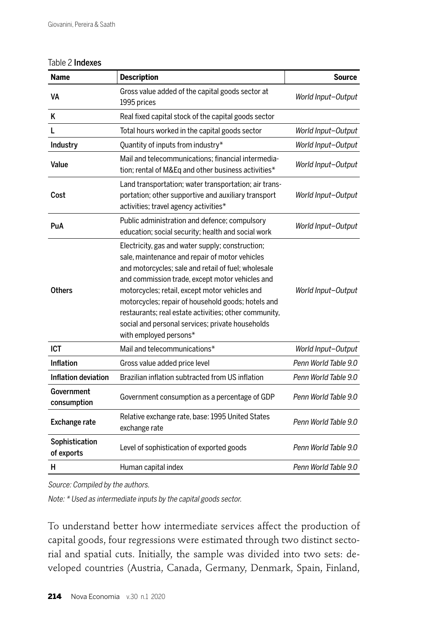| <b>Name</b>                  | <b>Description</b>                                                                                                                                                                                                                                                                                                                                                                                                                                          | Source               |
|------------------------------|-------------------------------------------------------------------------------------------------------------------------------------------------------------------------------------------------------------------------------------------------------------------------------------------------------------------------------------------------------------------------------------------------------------------------------------------------------------|----------------------|
| VA                           | Gross value added of the capital goods sector at<br>1995 prices                                                                                                                                                                                                                                                                                                                                                                                             | World Input-Output   |
| K                            | Real fixed capital stock of the capital goods sector                                                                                                                                                                                                                                                                                                                                                                                                        |                      |
| L                            | Total hours worked in the capital goods sector                                                                                                                                                                                                                                                                                                                                                                                                              | World Input-Output   |
| Industry                     | Quantity of inputs from industry*                                                                                                                                                                                                                                                                                                                                                                                                                           | World Input-Output   |
| Value                        | Mail and telecommunications: financial intermedia-<br>tion; rental of M&Eq and other business activities*                                                                                                                                                                                                                                                                                                                                                   | World Input-Output   |
| Cost                         | Land transportation; water transportation; air trans-<br>portation; other supportive and auxiliary transport<br>activities; travel agency activities*                                                                                                                                                                                                                                                                                                       | World Input-Output   |
| PuA                          | Public administration and defence; compulsory<br>education; social security; health and social work                                                                                                                                                                                                                                                                                                                                                         | World Input-Output   |
| <b>Others</b>                | Electricity, gas and water supply; construction;<br>sale, maintenance and repair of motor vehicles<br>and motorcycles; sale and retail of fuel; wholesale<br>and commission trade, except motor vehicles and<br>motorcycles; retail, except motor vehicles and<br>motorcycles; repair of household goods; hotels and<br>restaurants; real estate activities; other community,<br>social and personal services; private households<br>with employed persons* | World Input-Output   |
| <b>ICT</b>                   | Mail and telecommunications*                                                                                                                                                                                                                                                                                                                                                                                                                                | World Input-Output   |
| <b>Inflation</b>             | Gross value added price level                                                                                                                                                                                                                                                                                                                                                                                                                               | Penn World Table 9.0 |
| Inflation deviation          | Brazilian inflation subtracted from US inflation                                                                                                                                                                                                                                                                                                                                                                                                            | Penn World Table 9.0 |
| Government<br>consumption    | Government consumption as a percentage of GDP                                                                                                                                                                                                                                                                                                                                                                                                               | Penn World Table 9.0 |
| Exchange rate                | Relative exchange rate, base: 1995 United States<br>exchange rate                                                                                                                                                                                                                                                                                                                                                                                           | Penn World Table 9.0 |
| Sophistication<br>of exports | Level of sophistication of exported goods                                                                                                                                                                                                                                                                                                                                                                                                                   | Penn World Table 9.0 |
| н                            | Human capital index                                                                                                                                                                                                                                                                                                                                                                                                                                         | Penn World Table 9.0 |

Source: Compiled by the authors.

Note: \* Used as intermediate inputs by the capital goods sector.

To understand better how intermediate services affect the production of capital goods, four regressions were estimated through two distinct sectorial and spatial cuts. Initially, the sample was divided into two sets: developed countries (Austria, Canada, Germany, Denmark, Spain, Finland,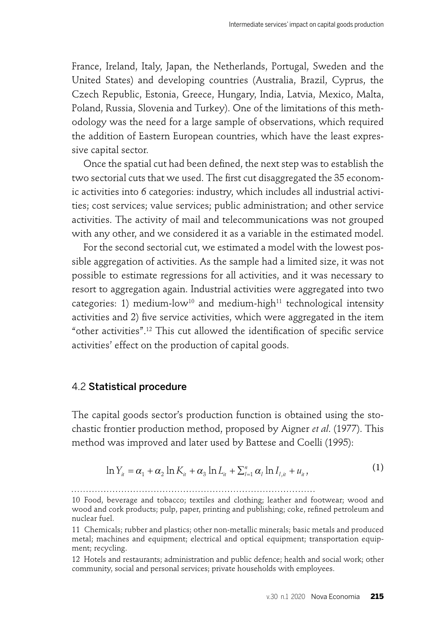France, Ireland, Italy, Japan, the Netherlands, Portugal, Sweden and the United States) and developing countries (Australia, Brazil, Cyprus, the Czech Republic, Estonia, Greece, Hungary, India, Latvia, Mexico, Malta, Poland, Russia, Slovenia and Turkey). One of the limitations of this methodology was the need for a large sample of observations, which required the addition of Eastern European countries, which have the least expressive capital sector.

Once the spatial cut had been defined, the next step was to establish the two sectorial cuts that we used. The first cut disaggregated the 35 economic activities into 6 categories: industry, which includes all industrial activities; cost services; value services; public administration; and other service activities. The activity of mail and telecommunications was not grouped with any other, and we considered it as a variable in the estimated model.

For the second sectorial cut, we estimated a model with the lowest possible aggregation of activities. As the sample had a limited size, it was not possible to estimate regressions for all activities, and it was necessary to resort to aggregation again. Industrial activities were aggregated into two categories: 1) medium-low<sup>10</sup> and medium-high<sup>11</sup> technological intensity activities and 2) five service activities, which were aggregated in the item "other activities".<sup>12</sup> This cut allowed the identification of specific service activities' effect on the production of capital goods.

### 4.2 Statistical procedure

The capital goods sector's production function is obtained using the stochastic frontier production method, proposed by Aigner *et al*. (1977). This method was improved and later used by Battese and Coelli (1995):

$$
\ln Y_{ii} = \alpha_1 + \alpha_2 \ln K_{ii} + \alpha_3 \ln L_{ii} + \sum_{l=1}^n \alpha_l \ln I_{l,ii} + u_{ii},
$$
\n(1)

<sup>10</sup> Food, beverage and tobacco; textiles and clothing; leather and footwear; wood and wood and cork products; pulp, paper, printing and publishing; coke, refined petroleum and nuclear fuel.

<sup>11</sup> Chemicals; rubber and plastics; other non-metallic minerals; basic metals and produced metal; machines and equipment; electrical and optical equipment; transportation equipment; recycling.

<sup>12</sup> Hotels and restaurants; administration and public defence; health and social work; other community, social and personal services; private households with employees.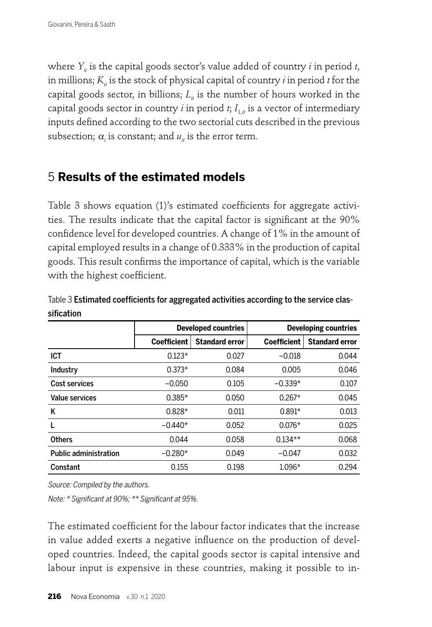where  $Y_i$  is the capital goods sector's value added of country *i* in period *t*, in millions;  $K_{\mu}$  is the stock of physical capital of country *i* in period *t* for the capital goods sector, in billions;  $L_i$  is the number of hours worked in the capital goods sector in country *i* in period  $t$ ;  $I_{1,i}$  is a vector of intermediary inputs defined according to the two sectorial cuts described in the previous subsection;  $\alpha_i$  is constant; and  $u_i$  is the error term.

# 5 **Results of the estimated models**

Table 3 shows equation (1)'s estimated coefficients for aggregate activities. The results indicate that the capital factor is significant at the 90% confidence level for developed countries. A change of 1% in the amount of capital employed results in a change of 0.333% in the production of capital goods. This result confirms the importance of capital, which is the variable with the highest coefficient.

|                              | <b>Developed countries</b> |                       | <b>Developing countries</b> |                       |
|------------------------------|----------------------------|-----------------------|-----------------------------|-----------------------|
|                              | <b>Coefficient</b>         | <b>Standard error</b> | <b>Coefficient</b>          | <b>Standard error</b> |
| <b>ICT</b>                   | $0.123*$                   | 0.027                 | $-0.018$                    | 0.044                 |
| Industry                     | $0.373*$                   | 0.084                 | 0.005                       | 0.046                 |
| Cost services                | $-0.050$                   | 0.105                 | $-0.339*$                   | 0.107                 |
| Value services               | $0.385*$                   | 0.050                 | $0.267*$                    | 0.045                 |
| ĸ                            | $0.828*$                   | 0.011                 | $0.891*$                    | 0.013                 |
|                              | $-0.440*$                  | 0.052                 | $0.076*$                    | 0.025                 |
| <b>Others</b>                | 0.044                      | 0.058                 | $0.134**$                   | 0.068                 |
| <b>Public administration</b> | $-0.280*$                  | 0.049                 | $-0.047$                    | 0.032                 |
| Constant                     | 0.155                      | 0.198                 | $1.096*$                    | 0.294                 |

Table 3 Estimated coefficients for aggregated activities according to the service classification

Source: Compiled by the authors.

Note: \* Significant at 90%; \*\* Significant at 95%.

The estimated coefficient for the labour factor indicates that the increase in value added exerts a negative influence on the production of developed countries. Indeed, the capital goods sector is capital intensive and labour input is expensive in these countries, making it possible to in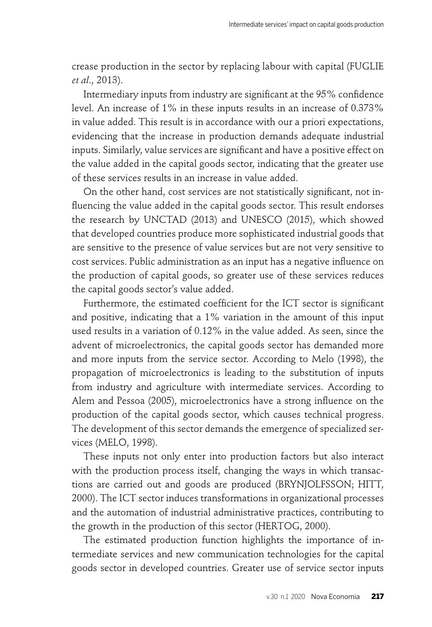crease production in the sector by replacing labour with capital (FUGLIE *et al*., 2013).

Intermediary inputs from industry are significant at the 95% confidence level. An increase of 1% in these inputs results in an increase of 0.373% in value added. This result is in accordance with our a priori expectations, evidencing that the increase in production demands adequate industrial inputs. Similarly, value services are significant and have a positive effect on the value added in the capital goods sector, indicating that the greater use of these services results in an increase in value added.

On the other hand, cost services are not statistically significant, not influencing the value added in the capital goods sector. This result endorses the research by UNCTAD (2013) and UNESCO (2015), which showed that developed countries produce more sophisticated industrial goods that are sensitive to the presence of value services but are not very sensitive to cost services. Public administration as an input has a negative influence on the production of capital goods, so greater use of these services reduces the capital goods sector's value added.

Furthermore, the estimated coefficient for the ICT sector is significant and positive, indicating that a 1% variation in the amount of this input used results in a variation of 0.12% in the value added. As seen, since the advent of microelectronics, the capital goods sector has demanded more and more inputs from the service sector. According to Melo (1998), the propagation of microelectronics is leading to the substitution of inputs from industry and agriculture with intermediate services. According to Alem and Pessoa (2005), microelectronics have a strong influence on the production of the capital goods sector, which causes technical progress. The development of this sector demands the emergence of specialized services (MELO, 1998).

These inputs not only enter into production factors but also interact with the production process itself, changing the ways in which transactions are carried out and goods are produced (BRYNJOLFSSON; HITT, 2000). The ICT sector induces transformations in organizational processes and the automation of industrial administrative practices, contributing to the growth in the production of this sector (HERTOG, 2000).

The estimated production function highlights the importance of intermediate services and new communication technologies for the capital goods sector in developed countries. Greater use of service sector inputs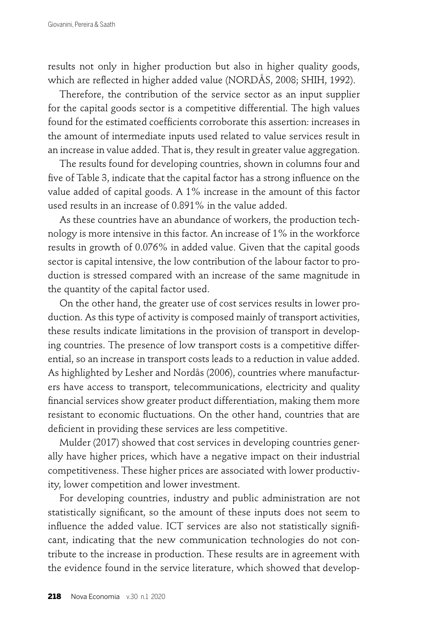results not only in higher production but also in higher quality goods, which are reflected in higher added value (NORDÅS, 2008; SHIH, 1992).

Therefore, the contribution of the service sector as an input supplier for the capital goods sector is a competitive differential. The high values found for the estimated coefficients corroborate this assertion: increases in the amount of intermediate inputs used related to value services result in an increase in value added. That is, they result in greater value aggregation.

The results found for developing countries, shown in columns four and five of Table 3, indicate that the capital factor has a strong influence on the value added of capital goods. A 1% increase in the amount of this factor used results in an increase of 0.891% in the value added.

As these countries have an abundance of workers, the production technology is more intensive in this factor. An increase of 1% in the workforce results in growth of 0.076% in added value. Given that the capital goods sector is capital intensive, the low contribution of the labour factor to production is stressed compared with an increase of the same magnitude in the quantity of the capital factor used.

On the other hand, the greater use of cost services results in lower production. As this type of activity is composed mainly of transport activities, these results indicate limitations in the provision of transport in developing countries. The presence of low transport costs is a competitive differential, so an increase in transport costs leads to a reduction in value added. As highlighted by Lesher and Nordås (2006), countries where manufacturers have access to transport, telecommunications, electricity and quality financial services show greater product differentiation, making them more resistant to economic fluctuations. On the other hand, countries that are deficient in providing these services are less competitive.

Mulder (2017) showed that cost services in developing countries generally have higher prices, which have a negative impact on their industrial competitiveness. These higher prices are associated with lower productivity, lower competition and lower investment.

For developing countries, industry and public administration are not statistically significant, so the amount of these inputs does not seem to influence the added value. ICT services are also not statistically significant, indicating that the new communication technologies do not contribute to the increase in production. These results are in agreement with the evidence found in the service literature, which showed that develop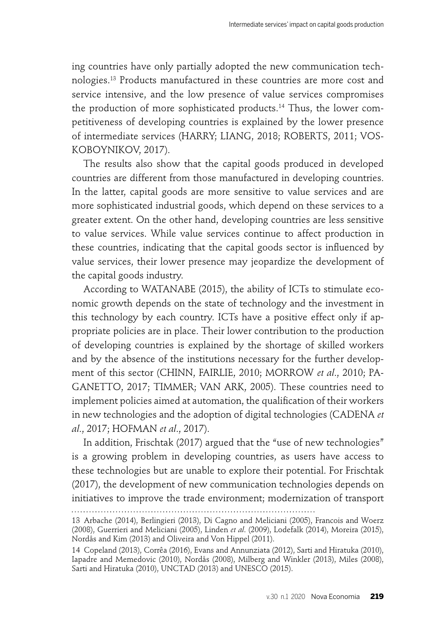ing countries have only partially adopted the new communication technologies.13 Products manufactured in these countries are more cost and service intensive, and the low presence of value services compromises the production of more sophisticated products.14 Thus, the lower competitiveness of developing countries is explained by the lower presence of intermediate services (HARRY; LIANG, 2018; ROBERTS, 2011; VOS-KOBOYNIKOV, 2017).

The results also show that the capital goods produced in developed countries are different from those manufactured in developing countries. In the latter, capital goods are more sensitive to value services and are more sophisticated industrial goods, which depend on these services to a greater extent. On the other hand, developing countries are less sensitive to value services. While value services continue to affect production in these countries, indicating that the capital goods sector is influenced by value services, their lower presence may jeopardize the development of the capital goods industry.

According to WATANABE (2015), the ability of ICTs to stimulate economic growth depends on the state of technology and the investment in this technology by each country. ICTs have a positive effect only if appropriate policies are in place. Their lower contribution to the production of developing countries is explained by the shortage of skilled workers and by the absence of the institutions necessary for the further development of this sector (CHINN, FAIRLIE, 2010; MORROW *et al*., 2010; PA-GANETTO, 2017; TIMMER; VAN ARK, 2005). These countries need to implement policies aimed at automation, the qualification of their workers in new technologies and the adoption of digital technologies (CADENA *et al*., 2017; HOFMAN *et al*., 2017).

In addition, Frischtak (2017) argued that the "use of new technologies" is a growing problem in developing countries, as users have access to these technologies but are unable to explore their potential. For Frischtak (2017), the development of new communication technologies depends on initiatives to improve the trade environment; modernization of transport

<sup>13</sup> Arbache (2014), Berlingieri (2013), Di Cagno and Meliciani (2005), Francois and Woerz (2008), Guerrieri and Meliciani (2005), Linden *et al*. (2009), Lodefalk (2014), Moreira (2015), Nordås and Kim (2013) and Oliveira and Von Hippel (2011).

<sup>14</sup> Copeland (2013), Corrêa (2016), Evans and Annunziata (2012), Sarti and Hiratuka (2010), Iapadre and Memedovic (2010), Nordås (2008), Milberg and Winkler (2013), Miles (2008), Sarti and Hiratuka (2010), UNCTAD (2013) and UNESCO (2015).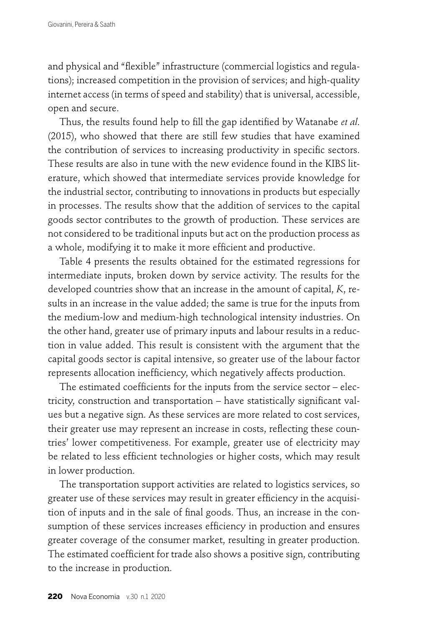and physical and "flexible" infrastructure (commercial logistics and regulations); increased competition in the provision of services; and high-quality internet access (in terms of speed and stability) that is universal, accessible, open and secure.

Thus, the results found help to fill the gap identified by Watanabe *et al*. (2015), who showed that there are still few studies that have examined the contribution of services to increasing productivity in specific sectors. These results are also in tune with the new evidence found in the KIBS literature, which showed that intermediate services provide knowledge for the industrial sector, contributing to innovations in products but especially in processes. The results show that the addition of services to the capital goods sector contributes to the growth of production. These services are not considered to be traditional inputs but act on the production process as a whole, modifying it to make it more efficient and productive.

Table 4 presents the results obtained for the estimated regressions for intermediate inputs, broken down by service activity. The results for the developed countries show that an increase in the amount of capital, *K*, results in an increase in the value added; the same is true for the inputs from the medium-low and medium-high technological intensity industries. On the other hand, greater use of primary inputs and labour results in a reduction in value added. This result is consistent with the argument that the capital goods sector is capital intensive, so greater use of the labour factor represents allocation inefficiency, which negatively affects production.

The estimated coefficients for the inputs from the service sector  $-$  electricity, construction and transportation – have statistically significant values but a negative sign. As these services are more related to cost services, their greater use may represent an increase in costs, reflecting these countries' lower competitiveness. For example, greater use of electricity may be related to less efficient technologies or higher costs, which may result in lower production.

The transportation support activities are related to logistics services, so greater use of these services may result in greater efficiency in the acquisition of inputs and in the sale of final goods. Thus, an increase in the consumption of these services increases efficiency in production and ensures greater coverage of the consumer market, resulting in greater production. The estimated coefficient for trade also shows a positive sign, contributing to the increase in production.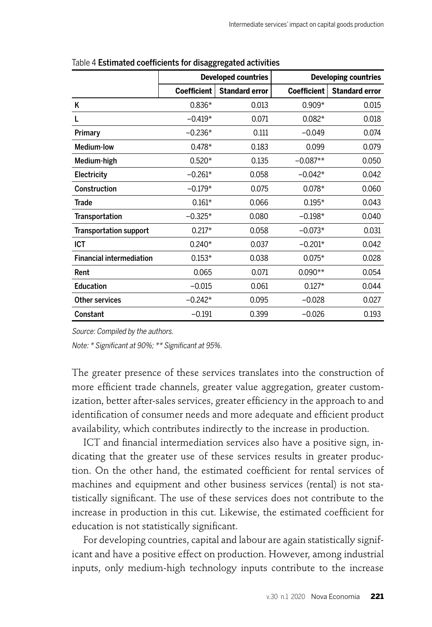|                                 | <b>Developed countries</b> |                       | <b>Developing countries</b> |                       |
|---------------------------------|----------------------------|-----------------------|-----------------------------|-----------------------|
|                                 | <b>Coefficient</b>         | <b>Standard error</b> | <b>Coefficient</b>          | <b>Standard error</b> |
| ĸ                               | $0.836*$                   | 0.013                 | $0.909*$                    | 0.015                 |
| L                               | $-0.419*$                  | 0.071                 | $0.082*$                    | 0.018                 |
| Primary                         | $-0.236*$                  | 0.111                 | $-0.049$                    | 0.074                 |
| Medium-low                      | $0.478*$                   | 0.183                 | 0.099                       | 0.079                 |
| Medium-high                     | $0.520*$                   | 0.135                 | $-0.087**$                  | 0.050                 |
| Electricity                     | $-0.261*$                  | 0.058                 | $-0.042*$                   | 0.042                 |
| Construction                    | $-0.179*$                  | 0.075                 | $0.078*$                    | 0.060                 |
| Trade                           | $0.161*$                   | 0.066                 | $0.195*$                    | 0.043                 |
| Transportation                  | $-0.325*$                  | 0.080                 | $-0.198*$                   | 0.040                 |
| <b>Transportation support</b>   | $0.217*$                   | 0.058                 | $-0.073*$                   | 0.031                 |
| <b>ICT</b>                      | $0.240*$                   | 0.037                 | $-0.201*$                   | 0.042                 |
| <b>Financial intermediation</b> | $0.153*$                   | 0.038                 | $0.075*$                    | 0.028                 |
| Rent                            | 0.065                      | 0.071                 | $0.090**$                   | 0.054                 |
| Education                       | $-0.015$                   | 0.061                 | $0.127*$                    | 0.044                 |
| Other services                  | $-0.242*$                  | 0.095                 | $-0.028$                    | 0.027                 |
| Constant                        | $-0.191$                   | 0.399                 | $-0.026$                    | 0.193                 |

Table 4 Estimated coefficients for disaggregated activities

Source: Compiled by the authors.

Note: \* Significant at 90%; \*\* Significant at 95%.

The greater presence of these services translates into the construction of more efficient trade channels, greater value aggregation, greater customization, better after-sales services, greater efficiency in the approach to and identification of consumer needs and more adequate and efficient product availability, which contributes indirectly to the increase in production.

ICT and financial intermediation services also have a positive sign, indicating that the greater use of these services results in greater production. On the other hand, the estimated coefficient for rental services of machines and equipment and other business services (rental) is not statistically significant. The use of these services does not contribute to the increase in production in this cut. Likewise, the estimated coefficient for education is not statistically significant.

For developing countries, capital and labour are again statistically significant and have a positive effect on production. However, among industrial inputs, only medium-high technology inputs contribute to the increase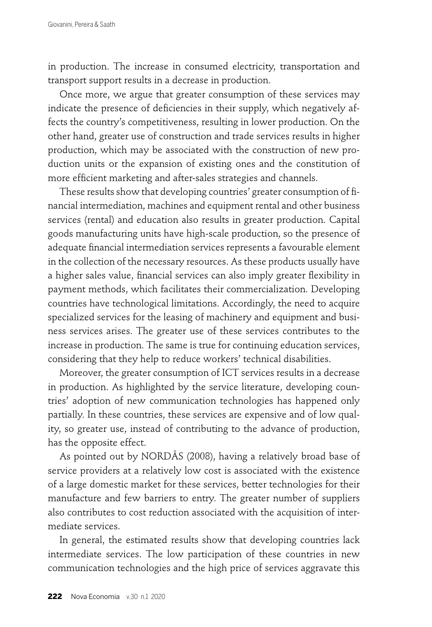in production. The increase in consumed electricity, transportation and transport support results in a decrease in production.

Once more, we argue that greater consumption of these services may indicate the presence of deficiencies in their supply, which negatively affects the country's competitiveness, resulting in lower production. On the other hand, greater use of construction and trade services results in higher production, which may be associated with the construction of new production units or the expansion of existing ones and the constitution of more efficient marketing and after-sales strategies and channels.

These results show that developing countries' greater consumption of financial intermediation, machines and equipment rental and other business services (rental) and education also results in greater production. Capital goods manufacturing units have high-scale production, so the presence of adequate financial intermediation services represents a favourable element in the collection of the necessary resources. As these products usually have a higher sales value, financial services can also imply greater flexibility in payment methods, which facilitates their commercialization. Developing countries have technological limitations. Accordingly, the need to acquire specialized services for the leasing of machinery and equipment and business services arises. The greater use of these services contributes to the increase in production. The same is true for continuing education services, considering that they help to reduce workers' technical disabilities.

Moreover, the greater consumption of ICT services results in a decrease in production. As highlighted by the service literature, developing countries' adoption of new communication technologies has happened only partially. In these countries, these services are expensive and of low quality, so greater use, instead of contributing to the advance of production, has the opposite effect.

As pointed out by NORDÅS (2008), having a relatively broad base of service providers at a relatively low cost is associated with the existence of a large domestic market for these services, better technologies for their manufacture and few barriers to entry. The greater number of suppliers also contributes to cost reduction associated with the acquisition of intermediate services.

In general, the estimated results show that developing countries lack intermediate services. The low participation of these countries in new communication technologies and the high price of services aggravate this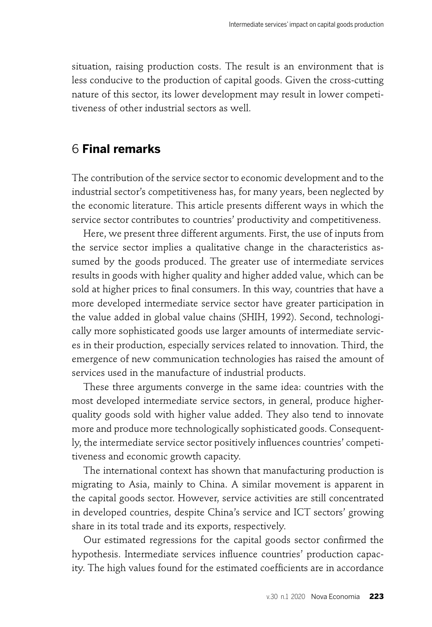situation, raising production costs. The result is an environment that is less conducive to the production of capital goods. Given the cross-cutting nature of this sector, its lower development may result in lower competitiveness of other industrial sectors as well.

### 6 **Final remarks**

The contribution of the service sector to economic development and to the industrial sector's competitiveness has, for many years, been neglected by the economic literature. This article presents different ways in which the service sector contributes to countries' productivity and competitiveness.

Here, we present three different arguments. First, the use of inputs from the service sector implies a qualitative change in the characteristics assumed by the goods produced. The greater use of intermediate services results in goods with higher quality and higher added value, which can be sold at higher prices to final consumers. In this way, countries that have a more developed intermediate service sector have greater participation in the value added in global value chains (SHIH, 1992). Second, technologically more sophisticated goods use larger amounts of intermediate services in their production, especially services related to innovation. Third, the emergence of new communication technologies has raised the amount of services used in the manufacture of industrial products.

These three arguments converge in the same idea: countries with the most developed intermediate service sectors, in general, produce higherquality goods sold with higher value added. They also tend to innovate more and produce more technologically sophisticated goods. Consequently, the intermediate service sector positively influences countries' competitiveness and economic growth capacity.

The international context has shown that manufacturing production is migrating to Asia, mainly to China. A similar movement is apparent in the capital goods sector. However, service activities are still concentrated in developed countries, despite China's service and ICT sectors' growing share in its total trade and its exports, respectively.

Our estimated regressions for the capital goods sector confirmed the hypothesis. Intermediate services influence countries' production capacity. The high values found for the estimated coefficients are in accordance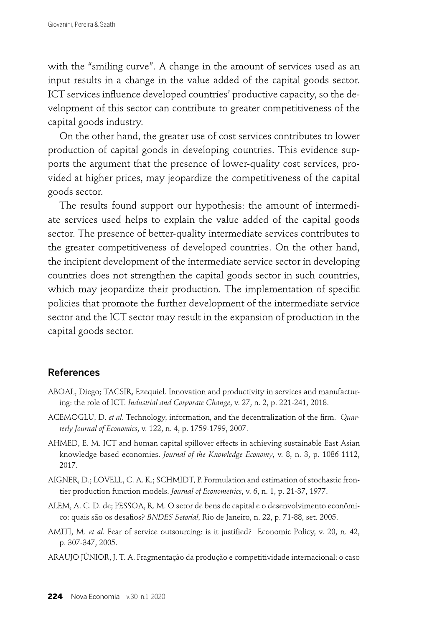with the "smiling curve". A change in the amount of services used as an input results in a change in the value added of the capital goods sector. ICT services influence developed countries' productive capacity, so the development of this sector can contribute to greater competitiveness of the capital goods industry.

On the other hand, the greater use of cost services contributes to lower production of capital goods in developing countries. This evidence supports the argument that the presence of lower-quality cost services, provided at higher prices, may jeopardize the competitiveness of the capital goods sector.

The results found support our hypothesis: the amount of intermediate services used helps to explain the value added of the capital goods sector. The presence of better-quality intermediate services contributes to the greater competitiveness of developed countries. On the other hand, the incipient development of the intermediate service sector in developing countries does not strengthen the capital goods sector in such countries, which may jeopardize their production. The implementation of specific policies that promote the further development of the intermediate service sector and the ICT sector may result in the expansion of production in the capital goods sector.

### References

- ABOAL, Diego; TACSIR, Ezequiel. Innovation and productivity in services and manufacturing: the role of ICT. *Industrial and Corporate Change*, v. 27, n. 2, p. 221-241, 2018.
- ACEMOGLU, D. et al. Technology, information, and the decentralization of the firm. *Quarterly Journal of Economics*, v. 122, n. 4, p. 1759-1799, 2007.
- AHMED, E. M. ICT and human capital spillover effects in achieving sustainable East Asian knowledge-based economies. *Journal of the Knowledge Economy*, v. 8, n. 3, p. 1086-1112, 2017.
- AIGNER, D.; LOVELL, C. A. K.; SCHMIDT, P. Formulation and estimation of stochastic frontier production function models. *Journal of Econometrics*, v. 6, n. 1, p. 21-37, 1977.
- ALEM, A. C. D. de; PESSOA, R. M. O setor de bens de capital e o desenvolvimento econômico: quais são os desafios? *BNDES Setorial*, Rio de Janeiro, n. 22, p. 71-88, set. 2005.
- AMITI, M. *et al.* Fear of service outsourcing: is it justified? Economic Policy, v. 20, n. 42, p. 307-347, 2005.
- ARAUJO JÚNIOR, J. T. A. Fragmentação da produção e competitividade internacional: o caso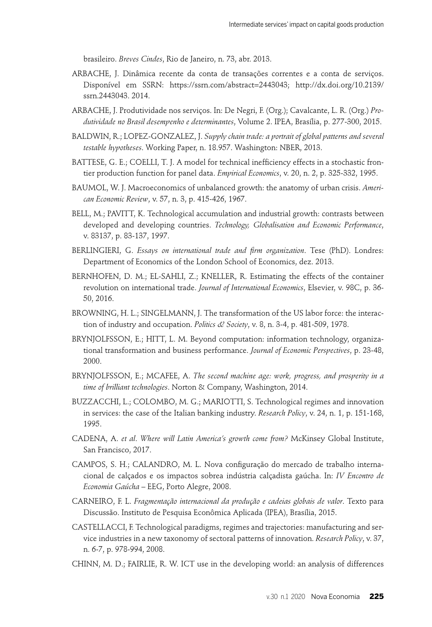brasileiro. *Breves Cindes*, Rio de Janeiro, n. 73, abr. 2013.

- ARBACHE, J. Dinâmica recente da conta de transações correntes e a conta de serviços. Disponível em SSRN: https://ssrn.com/abstract=2443043; http://dx.doi.org/10.2139/ ssrn.2443043. 2014.
- ARBACHE, J. Produtividade nos serviços. In: De Negri, F. (Org.); Cavalcante, L. R. (Org.) *Produtividade no Brasil desempenho e determinantes*, Volume 2. IPEA, Brasília, p. 277-300, 2015.
- BALDWIN, R.; LOPEZ-GONZALEZ, J. *Supply chain trade: a portrait of global patterns and several testable hypotheses*. Working Paper, n. 18.957. Washington: NBER, 2013.
- BATTESE, G. E.; COELLI, T. J. A model for technical inefficiency effects in a stochastic frontier production function for panel data. *Empirical Economics*, v. 20, n. 2, p. 325-332, 1995.
- BAUMOL, W. J. Macroeconomics of unbalanced growth: the anatomy of urban crisis. *American Economic Review*, v. 57, n. 3, p. 415-426, 1967.
- BELL, M.; PAVITT, K. Technological accumulation and industrial growth: contrasts between developed and developing countries. *Technology, Globalisation and Economic Performance*, v. 83137, p. 83-137, 1997.
- BERLINGIERI, G. *Essays on international trade and firm organization*. Tese (PhD). Londres: Department of Economics of the London School of Economics, dez. 2013.
- BERNHOFEN, D. M.; EL-SAHLI, Z.; KNELLER, R. Estimating the effects of the container revolution on international trade. *Journal of International Economics*, Elsevier, v. 98C, p. 36- 50, 2016.
- BROWNING, H. L.; SINGELMANN, J. The transformation of the US labor force: the interaction of industry and occupation. *Politics & Society*, v. 8, n. 3-4, p. 481-509, 1978.
- BRYNJOLFSSON, E.; HITT, L. M. Beyond computation: information technology, organizational transformation and business performance. *Journal of Economic Perspectives*, p. 23-48, 2000.
- BRYNJOLFSSON, E.; MCAFEE, A. *The second machine age: work, progress, and prosperity in a time of brilliant technologies*. Norton & Company, Washington, 2014.
- BUZZACCHI, L.; COLOMBO, M. G.; MARIOTTI, S. Technological regimes and innovation in services: the case of the Italian banking industry. *Research Policy*, v. 24, n. 1, p. 151-168, 1995.
- CADENA, A. *et al*. *Where will Latin America's growth come from?* McKinsey Global Institute, San Francisco, 2017.
- CAMPOS, S. H.; CALANDRO, M. L. Nova configuração do mercado de trabalho internacional de calçados e os impactos sobrea indústria calçadista gaúcha. In: *IV Encontro de Economia Gaúcha* – EEG, Porto Alegre, 2008.
- CARNEIRO, F. L. *Fragmentação internacional da produção e cadeias globais de valor*. Texto para Discussão. Instituto de Pesquisa Econômica Aplicada (IPEA), Brasília, 2015.
- CASTELLACCI, F. Technological paradigms, regimes and trajectories: manufacturing and service industries in a new taxonomy of sectoral patterns of innovation. *Research Policy*, v. 37, n. 6-7, p. 978-994, 2008.
- CHINN, M. D.; FAIRLIE, R. W. ICT use in the developing world: an analysis of differences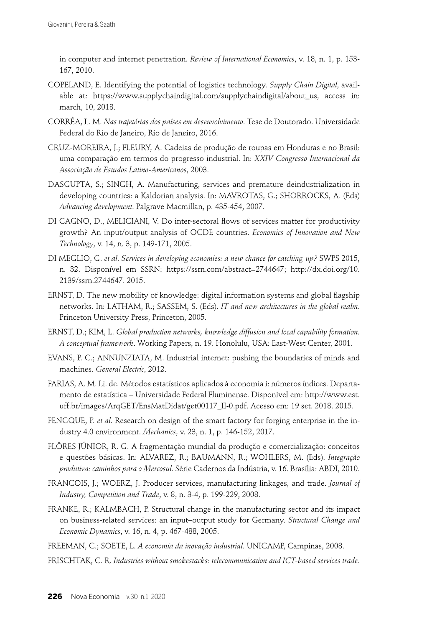in computer and internet penetration. *Review of International Economics*, v. 18, n. 1, p. 153- 167, 2010.

- COPELAND, E. Identifying the potential of logistics technology. *Supply Chain Digital*, available at: https://www.supplychaindigital.com/supplychaindigital/about\_us, access in: march, 10, 2018.
- CORRÊA, L. M. *Nas trajetórias dos países em desenvolvimento*. Tese de Doutorado. Universidade Federal do Rio de Janeiro, Rio de Janeiro, 2016.
- CRUZ-MOREIRA, J.; FLEURY, A. Cadeias de produção de roupas em Honduras e no Brasil: uma comparação em termos do progresso industrial. In: *XXIV Congresso Internacional da Associação de Estudos Latino-Americanos*, 2003.
- DASGUPTA, S.; SINGH, A. Manufacturing, services and premature deindustrialization in developing countries: a Kaldorian analysis. In: MAVROTAS, G.; SHORROCKS, A. (Eds) *Advancing development*. Palgrave Macmillan, p. 435-454, 2007.
- DI CAGNO, D., MELICIANI, V. Do inter-sectoral flows of services matter for productivity growth? An input/output analysis of OCDE countries. *Economics of Innovation and New Technology*, v. 14, n. 3, p. 149-171, 2005.
- DI MEGLIO, G. *et al*. *Services in developing economies: a new chance for catching-up?* SWPS 2015, n. 32. Disponível em SSRN: https://ssrn.com/abstract=2744647; http://dx.doi.org/10. 2139/ssrn.2744647. 2015.
- ERNST, D. The new mobility of knowledge: digital information systems and global flagship networks. In: LATHAM, R.; SASSEM, S. (Eds). *IT and new architectures in the global realm*. Princeton University Press, Princeton, 2005.
- ERNST, D.; KIM, L. *Global production networks, knowledge diffusion and local capability formation. A conceptual framework*. Working Papers, n. 19. Honolulu, USA: East-West Center, 2001.
- EVANS, P. C.; ANNUNZIATA, M. Industrial internet: pushing the boundaries of minds and machines. *General Electric*, 2012.
- FARIAS, A. M. Li. de. Métodos estatísticos aplicados à economia i: números índices. Departamento de estatística – Universidade Federal Fluminense. Disponível em: http://www.est. uff.br/images/ArqGET/EnsMatDidat/get00117\_II-0.pdf. Acesso em: 19 set. 2018. 2015.
- FENGQUE, P. *et al*. Research on design of the smart factory for forging enterprise in the industry 4.0 environment. *Mechanics*, v. 23, n. 1, p. 146-152, 2017.
- FLÔRES JÚNIOR, R. G. A fragmentação mundial da produção e comercialização: conceitos e questões básicas. In: ALVAREZ, R.; BAUMANN, R.; WOHLERS, M. (Eds). *Integração produtiva: caminhos para o Mercosul*. Série Cadernos da Indústria, v. 16. Brasília: ABDI, 2010.
- FRANCOIS, J.; WOERZ, J. Producer services, manufacturing linkages, and trade. *Journal of Industry, Competition and Trade*, v. 8, n. 3-4, p. 199-229, 2008.
- FRANKE, R.; KALMBACH, P. Structural change in the manufacturing sector and its impact on business-related services: an input–output study for Germany. *Structural Change and Economic Dynamics*, v. 16, n. 4, p. 467-488, 2005.
- FREEMAN, C.; SOETE, L. *A economia da inovação industrial*. UNICAMP, Campinas, 2008.
- FRISCHTAK, C. R. *Industries without smokestacks: telecommunication and ICT-based services trade*.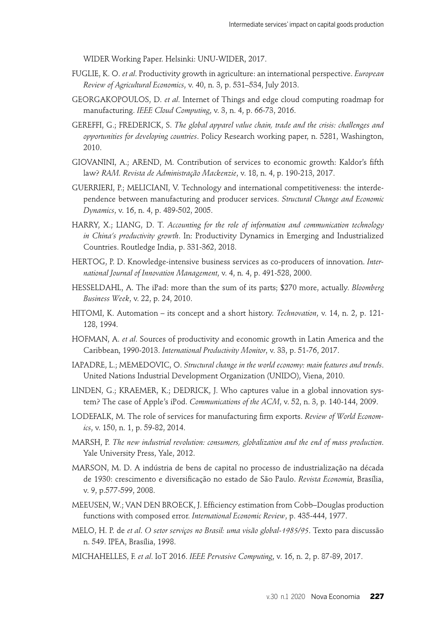WIDER Working Paper. Helsinki: UNU-WIDER, 2017.

- FUGLIE, K. O. *et al*. Productivity growth in agriculture: an international perspective. *European Review of Agricultural Economics*, v. 40, n. 3, p. 531–534, July 2013.
- GEORGAKOPOULOS, D. *et al*. Internet of Things and edge cloud computing roadmap for manufacturing. *IEEE Cloud Computing*, v. 3, n. 4, p. 66-73, 2016.
- GEREFFI, G.; FREDERICK, S. *The global apparel value chain, trade and the crisis: challenges and opportunities for developing countries*. Policy Research working paper, n. 5281, Washington, 2010.
- GIOVANINI, A.; AREND, M. Contribution of services to economic growth: Kaldor's fifth law? *RAM. Revista de Administração Mackenzie*, v. 18, n. 4, p. 190-213, 2017.
- GUERRIERI, P.; MELICIANI, V. Technology and international competitiveness: the interdependence between manufacturing and producer services. *Structural Change and Economic Dynamics*, v. 16, n. 4, p. 489-502, 2005.
- HARRY, X.; LIANG, D. T. *Accounting for the role of information and communication technology in China's productivity growth*. In: Productivity Dynamics in Emerging and Industrialized Countries. Routledge India, p. 331-362, 2018.
- HERTOG, P. D. Knowledge-intensive business services as co-producers of innovation. *International Journal of Innovation Management*, v. 4, n. 4, p. 491-528, 2000.
- HESSELDAHL, A. The iPad: more than the sum of its parts; \$270 more, actually. *Bloomberg Business Week*, v. 22, p. 24, 2010.
- HITOMI, K. Automation its concept and a short history. *Technovation*, v. 14, n. 2, p. 121- 128, 1994.
- HOFMAN, A. *et al*. Sources of productivity and economic growth in Latin America and the Caribbean, 1990-2013. *International Productivity Monitor*, v. 33, p. 51-76, 2017.
- IAPADRE, L.; MEMEDOVIC, O. *Structural change in the world economy: main features and trends*. United Nations Industrial Development Organization (UNIDO), Viena, 2010.
- LINDEN, G.; KRAEMER, K.; DEDRICK, J. Who captures value in a global innovation system? The case of Apple's iPod. *Communications of the ACM*, v. 52, n. 3, p. 140-144, 2009.
- LODEFALK, M. The role of services for manufacturing firm exports. *Review of World Economics*, v. 150, n. 1, p. 59-82, 2014.
- MARSH, P. *The new industrial revolution: consumers, globalization and the end of mass production*. Yale University Press, Yale, 2012.
- MARSON, M. D. A indústria de bens de capital no processo de industrialização na década de 1930: crescimento e diversificação no estado de São Paulo. *Revista Economia*, Brasília, v. 9, p.577-599, 2008.
- MEEUSEN, W.; VAN DEN BROECK, J. Efficiency estimation from Cobb-Douglas production functions with composed error. *International Economic Review*, p. 435-444, 1977.
- MELO, H. P. de *et al*. *O setor serviços no Brasil: uma visão global-1985/95*. Texto para discussão n. 549. IPEA, Brasília, 1998.
- MICHAHELLES, F. *et al*. IoT 2016. *IEEE Pervasive Computing*, v. 16, n. 2, p. 87-89, 2017.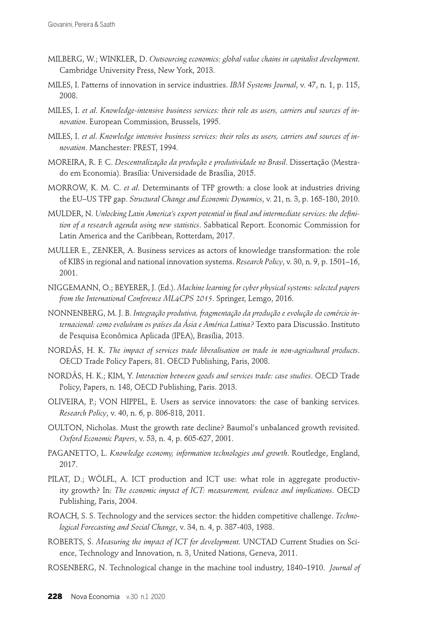- MILBERG, W.; WINKLER, D. *Outsourcing economics: global value chains in capitalist development*. Cambridge University Press, New York, 2013.
- MILES, I. Patterns of innovation in service industries. *IBM Systems Journal*, v. 47, n. 1, p. 115, 2008.
- MILES, I. *et al*. *Knowledge-intensive business services: their role as users, carriers and sources of innovation*. European Commission, Brussels, 1995.
- MILES, I. *et al*. *Knowledge intensive business services: their roles as users, carriers and sources of innovation*. Manchester: PREST, 1994.
- MOREIRA, R. F. C. *Descentralização da produção e produtividade no Brasil*. Dissertação (Mestrado em Economia). Brasília: Universidade de Brasília, 2015.
- MORROW, K. M. C. *et al*. Determinants of TFP growth: a close look at industries driving the EU–US TFP gap. *Structural Change and Economic Dynamics*, v. 21, n. 3, p. 165-180, 2010.
- MULDER, N. *Unlocking Latin America's export potential in final and intermediate services: the definition of a research agenda using new statistics*. Sabbatical Report. Economic Commission for Latin America and the Caribbean, Rotterdam, 2017.
- MULLER E., ZENKER, A. Business services as actors of knowledge transformation: the role of KIBS in regional and national innovation systems. *Research Policy*, v. 30, n. 9, p. 1501–16, 2001.
- NIGGEMANN, O.; BEYERER, J. (Ed.). *Machine learning for cyber physical systems: selected papers from the International Conference ML4CPS 2015*. Springer, Lemgo, 2016.
- NONNENBERG, M. J. B. *Integração produtiva, fragmentação da produção e evolução do comércio internacional: como evoluíram os países da Ásia e América Latina?* Texto para Discussão. Instituto de Pesquisa Econômica Aplicada (IPEA), Brasília, 2013.
- NORDÅS, H. K. *The impact of services trade liberalisation on trade in non-agricultural products*. OECD Trade Policy Papers, 81. OECD Publishing, Paris, 2008.
- NORDÅS, H. K.; KIM, Y. *Interaction between goods and services trade: case studies*. OECD Trade Policy, Papers, n. 148, OECD Publishing, Paris. 2013.
- OLIVEIRA, P.; VON HIPPEL, E. Users as service innovators: the case of banking services. *Research Policy*, v. 40, n. 6, p. 806-818, 2011.
- OULTON, Nicholas. Must the growth rate decline? Baumol's unbalanced growth revisited. *Oxford Economic Papers*, v. 53, n. 4, p. 605-627, 2001.
- PAGANETTO, L. *Knowledge economy, information technologies and growth*. Routledge, England, 2017.
- PILAT, D.; WÖLFL, A. ICT production and ICT use: what role in aggregate productivity growth? In: *The economic impact of ICT: measurement, evidence and implications*. OECD Publishing, Paris, 2004.
- ROACH, S. S. Technology and the services sector: the hidden competitive challenge. *Technological Forecasting and Social Change*, v. 34, n. 4, p. 387-403, 1988.
- ROBERTS, S. *Measuring the impact of ICT for development*. UNCTAD Current Studies on Science, Technology and Innovation, n. 3, United Nations, Geneva, 2011.
- ROSENBERG, N. Technological change in the machine tool industry, 1840–1910. *Journal of*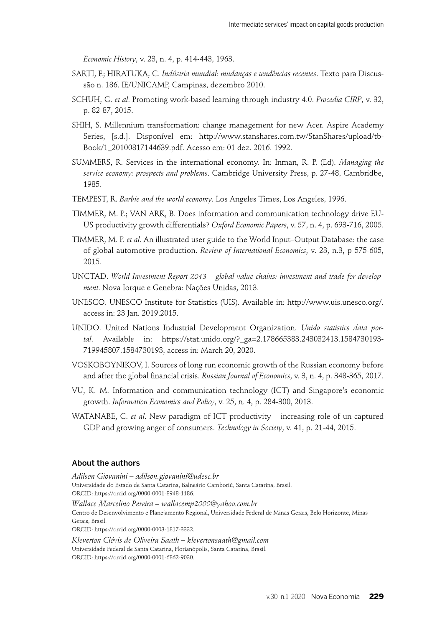*Economic History*, v. 23, n. 4, p. 414-443, 1963.

- SARTI, F.; HIRATUKA, C. *Indústria mundial: mudanças e tendências recentes*. Texto para Discussão n. 186. IE/UNICAMP, Campinas, dezembro 2010.
- SCHUH, G. *et al*. Promoting work-based learning through industry 4.0. *Procedia CIRP*, v. 32, p. 82-87, 2015.
- SHIH, S. Millennium transformation: change management for new Acer. Aspire Academy Series, [s.d.]. Disponível em: http://www.stanshares.com.tw/StanShares/upload/tb-Book/1\_20100817144639.pdf. Acesso em: 01 dez. 2016. 1992.
- SUMMERS, R. Services in the international economy. In: Inman, R. P. (Ed). *Managing the service economy: prospects and problems*. Cambridge University Press, p. 27-48, Cambridbe, 1985.
- TEMPEST, R. *Barbie and the world economy*. Los Angeles Times, Los Angeles, 1996.
- TIMMER, M. P.; VAN ARK, B. Does information and communication technology drive EU-US productivity growth differentials? *Oxford Economic Papers*, v. 57, n. 4, p. 693-716, 2005.
- TIMMER, M. P. *et al*. An illustrated user guide to the World Input–Output Database: the case of global automotive production. *Review of International Economics*, v. 23, n.3, p 575-605, 2015.
- UNCTAD. *World Investment Report 2013 global value chains: investment and trade for development*. Nova Iorque e Genebra: Nações Unidas, 2013.
- UNESCO. UNESCO Institute for Statistics (UIS). Available in: http://www.uis.unesco.org/. access in: 23 Jan. 2019.2015.
- UNIDO. United Nations Industrial Development Organization. *Unido statistics data portal*. Available in: https://stat.unido.org/?\_ga=2.178665383.243032413.1584730193- 719945807.1584730193, access in: March 20, 2020.
- VOSKOBOYNIKOV, I. Sources of long run economic growth of the Russian economy before and after the global financial crisis. *Russian Journal of Economics*, v. 3, n. 4, p. 348-365, 2017.
- VU, K. M. Information and communication technology (ICT) and Singapore's economic growth. *Information Economics and Policy*, v. 25, n. 4, p. 284-300, 2013.
- WATANABE, C. *et al*. New paradigm of ICT productivity increasing role of un-captured GDP and growing anger of consumers. *Technology in Society*, v. 41, p. 21-44, 2015.

### About the authors

*Adilson Giovanini – adilson.giovanini@udesc.br* Universidade do Estado de Santa Catarina, Balneário Camboriú, Santa Catarina, Brasil. ORCID: https://orcid.org/0000-0001-8948-1186. *Wallace Marcelino Pereira – wallacemp2000@yahoo.com.br* Centro de Desenvolvimento e Planejamento Regional, Universidade Federal de Minas Gerais, Belo Horizonte, Minas Gerais, Brasil. ORCID: https://orcid.org/0000-0003-1817-3332. *Kleverton Clóvis de Oliveira Saath – klevertonsaath@gmail.com* Universidade Federal de Santa Catarina, Florianópolis, Santa Catarina, Brasil.

ORCID: https://orcid.org/0000-0001-6862-9030.